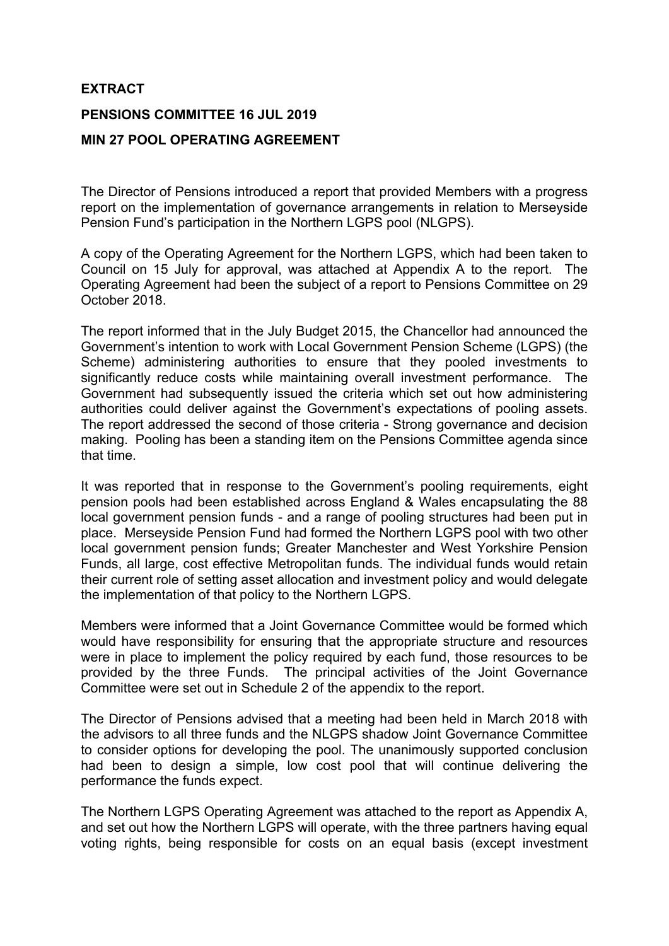## **EXTRACT**

## **PENSIONS COMMITTEE 16 JUL 2019**

## **MIN 27 POOL OPERATING AGREEMENT**

The Director of Pensions introduced a report that provided Members with a progress report on the implementation of governance arrangements in relation to Merseyside Pension Fund's participation in the Northern LGPS pool (NLGPS).

A copy of the Operating Agreement for the Northern LGPS, which had been taken to Council on 15 July for approval, was attached at Appendix A to the report. The Operating Agreement had been the subject of a report to Pensions Committee on 29 October 2018.

The report informed that in the July Budget 2015, the Chancellor had announced the Government's intention to work with Local Government Pension Scheme (LGPS) (the Scheme) administering authorities to ensure that they pooled investments to significantly reduce costs while maintaining overall investment performance. The Government had subsequently issued the criteria which set out how administering authorities could deliver against the Government's expectations of pooling assets. The report addressed the second of those criteria - Strong governance and decision making. Pooling has been a standing item on the Pensions Committee agenda since that time.

It was reported that in response to the Government's pooling requirements, eight pension pools had been established across England & Wales encapsulating the 88 local government pension funds - and a range of pooling structures had been put in place. Merseyside Pension Fund had formed the Northern LGPS pool with two other local government pension funds; Greater Manchester and West Yorkshire Pension Funds, all large, cost effective Metropolitan funds. The individual funds would retain their current role of setting asset allocation and investment policy and would delegate the implementation of that policy to the Northern LGPS.

Members were informed that a Joint Governance Committee would be formed which would have responsibility for ensuring that the appropriate structure and resources were in place to implement the policy required by each fund, those resources to be provided by the three Funds. The principal activities of the Joint Governance Committee were set out in Schedule 2 of the appendix to the report.

The Director of Pensions advised that a meeting had been held in March 2018 with the advisors to all three funds and the NLGPS shadow Joint Governance Committee to consider options for developing the pool. The unanimously supported conclusion had been to design a simple, low cost pool that will continue delivering the performance the funds expect.

The Northern LGPS Operating Agreement was attached to the report as Appendix A, and set out how the Northern LGPS will operate, with the three partners having equal voting rights, being responsible for costs on an equal basis (except investment